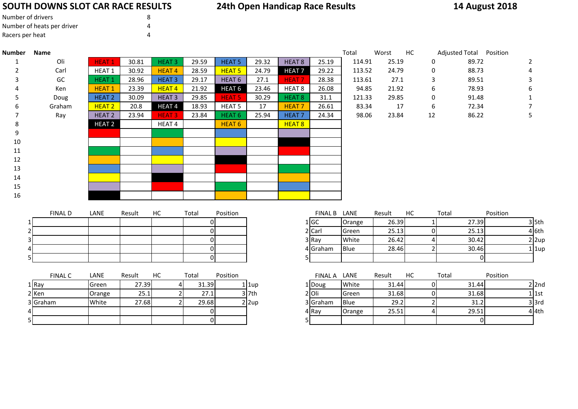### **SOUTH DOWNS SLOT CAR RACE RESULTS**

## **24th Open Handicap Race Results**

**14 August 2018**

| Number of drivers          | 8 |
|----------------------------|---|
| Number of heats per driver |   |
| Racers per heat            |   |

| Number | <b>Name</b> |                   |       |                   |       |                   |       |               |       | Total  | HC<br>Worst |    | Adjusted Total Position |  |
|--------|-------------|-------------------|-------|-------------------|-------|-------------------|-------|---------------|-------|--------|-------------|----|-------------------------|--|
|        | Oli         | <b>HEAT1</b>      | 30.81 | HEAT <sub>3</sub> | 29.59 | HEAT <sub>5</sub> | 29.32 | HEAT 8        | 25.19 | 114.91 | 25.19       | 0  | 89.72                   |  |
|        | Carl        | HEAT 1            | 30.92 | <b>HEAT4</b>      | 28.59 | <b>HEAT 5</b>     | 24.79 | <b>HEAT 7</b> | 29.22 | 113.52 | 24.79       | 0  | 88.73                   |  |
|        | GC          | <b>HEAT1</b>      | 28.96 | HEAT <sub>3</sub> | 29.17 | HEAT <sub>6</sub> | 27.1  | <b>HEAT 7</b> | 28.38 | 113.61 | 27.1        | 3  | 89.51                   |  |
|        | Ken         | <b>HEAT1</b>      | 23.39 | HEAT <sub>4</sub> | 21.92 | <b>HEAT 6</b>     | 23.46 | HEAT 8        | 26.08 | 94.85  | 21.92       | 6  | 78.93                   |  |
|        | Doug        | HEAT <sub>2</sub> | 30.09 | HEAT <sub>3</sub> | 29.85 | <b>HEAT 5</b>     | 30.29 | HEAT 8        | 31.1  | 121.33 | 29.85       | 0  | 91.48                   |  |
| 6      | Graham      | HEAT <sub>2</sub> | 20.8  | <b>HEAT4</b>      | 18.93 | <b>HEAT 5</b>     | 17    | <b>HEAT7</b>  | 26.61 | 83.34  | 17          | 6  | 72.34                   |  |
|        | Ray         | HEAT <sub>2</sub> | 23.94 | <b>HEAT3</b>      | 23.84 | HEAT 6            | 25.94 | HEAT 7        | 24.34 | 98.06  | 23.84       | 12 | 86.22                   |  |
| ŏ      |             | <b>HEAT 2</b>     |       | HEAT 4            |       | HEAT <sub>6</sub> |       | HEAT 8        |       |        |             |    |                         |  |
| 9      |             |                   |       |                   |       |                   |       |               |       |        |             |    |                         |  |
| 10     |             |                   |       |                   |       |                   |       |               |       |        |             |    |                         |  |
| 11     |             |                   |       |                   |       |                   |       |               |       |        |             |    |                         |  |
| 12     |             |                   |       |                   |       |                   |       |               |       |        |             |    |                         |  |
| 13     |             |                   |       |                   |       |                   |       |               |       |        |             |    |                         |  |
| 14     |             |                   |       |                   |       |                   |       |               |       |        |             |    |                         |  |
| 15     |             |                   |       |                   |       |                   |       |               |       |        |             |    |                         |  |
| 16     |             |                   |       |                   |       |                   |       |               |       |        |             |    |                         |  |

|   |                   |       | Total  | Worst | HС | <b>Adjusted Total</b> | Position |              |
|---|-------------------|-------|--------|-------|----|-----------------------|----------|--------------|
| 2 | <b>HEAT 8</b>     | 25.19 | 114.91 | 25.19 | 0  | 89.72                 |          | 2            |
| 9 | <b>HEAT 7</b>     | 29.22 | 113.52 | 24.79 | 0  | 88.73                 |          | 4            |
|   | <b>HEAT 7</b>     | 28.38 | 113.61 | 27.1  | 3  | 89.51                 |          | 3            |
| 6 | HEAT <sub>8</sub> | 26.08 | 94.85  | 21.92 | 6  | 78.93                 |          | 6            |
| 9 | <b>HEAT 8</b>     | 31.1  | 121.33 | 29.85 | 0  | 91.48                 |          | $\mathbf{1}$ |
|   | <b>HEAT 7</b>     | 26.61 | 83.34  | 17    | 6  | 72.34                 |          | 7            |
| 4 | <b>HEAT 7</b>     | 24.34 | 98.06  | 23.84 | 12 | 86.22                 |          | 5            |
|   |                   |       |        |       |    |                       |          |              |

| <b>FINAL D</b> | LANE | Result | НC | Total | Position | <b>FINAL B</b> | LANE        | Result | HC | Total |       |
|----------------|------|--------|----|-------|----------|----------------|-------------|--------|----|-------|-------|
|                |      |        |    |       |          | 1 IGC          | Orange      | 26.39  |    |       | 27.39 |
|                |      |        |    |       |          | 2 Carl         | Green       | 25.13  |    |       | 25.13 |
|                |      |        |    |       |          | 3 Ray          | White       | 26.42  |    |       | 30.42 |
|                |      |        |    |       |          | 4 Graham       | <b>Blue</b> | 28.46  |    |       | 30.46 |
|                |      |        |    |       |          |                |             |        |    |       |       |

|                | <b>FINAL C</b> | LANE    | Result | НC | Total | Position |              | <b>FINAL A</b> | LANE         | Result | НC | Total |
|----------------|----------------|---------|--------|----|-------|----------|--------------|----------------|--------------|--------|----|-------|
| 1 Ray          |                | lGreen. | 27.39  |    | 31.39 |          | $1$  1up     | 1   Doug       | White        | 31.44  |    | 31.44 |
| 2 Ken          |                | Orange  | 25.1   |    | 27.1  |          | $3$ 7th      | 2 Oli          | <b>Green</b> | 31.68  |    | 31.68 |
| 3 Graham       |                | White   | 27.68  |    | 29.68 |          | $2 \times 2$ | 3 Graham       | <b>Blue</b>  | 29.2   |    | 31.2  |
| $\overline{4}$ |                |         |        |    |       |          |              | 4 Ray          | Orange       | 25.51  |    | 29.51 |
| 5              |                |         |        |    |       |          |              |                |              |        |    |       |

| <b>FINAL D</b> | LANE | Result | HC | Total | Position | <b>FINAL B</b> | LANE        | Result | НC | Total | Position |
|----------------|------|--------|----|-------|----------|----------------|-------------|--------|----|-------|----------|
|                |      |        |    |       |          | 1 GC           | Orange      | 26.39  |    | 27.39 | 3 5th    |
|                |      |        |    |       |          | 2 Carl         | Green       | 25.13  |    | 25.13 | 4 6th    |
|                |      |        |    |       |          | 3 Ray          | White       | 26.42  |    | 30.42 | 2 2up    |
|                |      |        |    |       |          | 4 Graham       | <b>Blue</b> | 28.46  |    | 30.46 | 1 1up    |
|                |      |        |    |       |          |                |             |        |    |       |          |

| <b>FINAL C</b> | LANE   | Result | HC | Total | Position |                         | <b>FINAL A</b> | LANE        | Result | НC | Total | Position |
|----------------|--------|--------|----|-------|----------|-------------------------|----------------|-------------|--------|----|-------|----------|
| 1 Ray          | Green  | 27.39  |    | 31.39 |          | l 1up                   | 1   Doug       | White       | 31.44  | 01 | 31.44 | $2$  2nd |
| 2 Ken          | Orange | 25.1   |    | 27.1  |          | 3 7th                   | 2 Oli          | Green       | 31.68  | 01 | 31.68 | 1   1st  |
| 3 Graham       | White  | 27.68  |    | 29.68 |          | $2 \vert 2 \mathrm{up}$ | 3 Graham       | <b>Blue</b> | 29.2   |    | 31.2  | $3$ 3rd  |
|                |        |        |    | ΩI    |          |                         | 4 Ray          | Orange      | 25.51  |    | 29.51 | 4 4th    |
|                |        |        |    | ΩL    |          |                         |                |             |        |    |       |          |